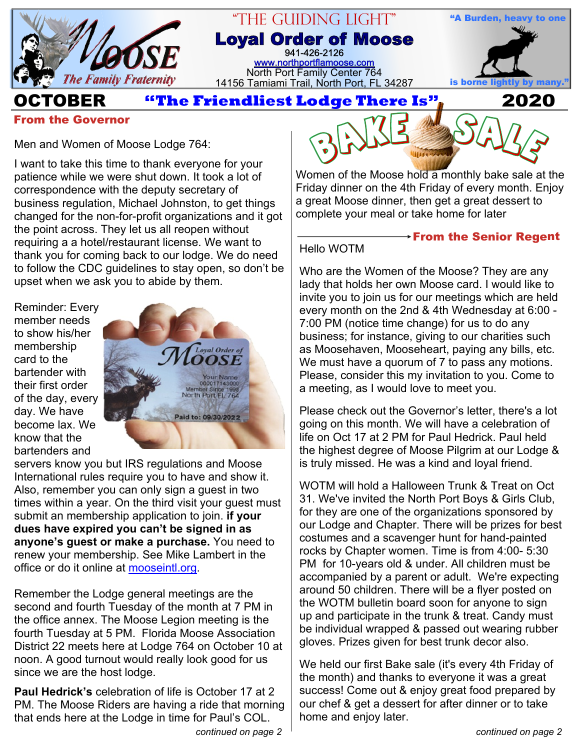

#### "The Guiding Light" **Loyal Order of Moose** 941-426-2126 [www.northportflamoose.com](http://www.northportflamoose.com) North Port Family Center 764 14156 Tamiami Trail, North Port, FL 34287 **is borne light**



**OCTOBER 2020**

#### **From the Governor**

Men and Women of Moose Lodge 764:

I want to take this time to thank everyone for your patience while we were shut down. It took a lot of correspondence with the deputy secretary of business regulation, Michael Johnston, to get things changed for the non-for-profit organizations and it got the point across. They let us all reopen without requiring a a hotel/restaurant license. We want to thank you for coming back to our lodge. We do need to follow the CDC guidelines to stay open, so don't be upset when we ask you to abide by them.

Reminder: Every member needs to show his/her membership card to the bartender with their first order of the day, every day. We have become lax. We know that the bartenders and



servers know you but IRS regulations and Moose International rules require you to have and show it. Also, remember you can only sign a guest in two times within a year. On the third visit your guest must submit an membership application to join. **if your dues have expired you can't be signed in as anyone's guest or make a purchase.** You need to renew your membership. See Mike Lambert in the office or do it online at [mooseintl.org.](https://secure.mooseintl.org/QuickPay/)

Remember the Lodge general meetings are the second and fourth Tuesday of the month at 7 PM in the office annex. The Moose Legion meeting is the fourth Tuesday at 5 PM. Florida Moose Association District 22 meets here at Lodge 764 on October 10 at noon. A good turnout would really look good for us since we are the host lodge.

**Paul Hedrick's** celebration of life is October 17 at 2 PM. The Moose Riders are having a ride that morning that ends here at the Lodge in time for Paul's COL.



Women of the Moose hold a monthly bake sale at the Friday dinner on the 4th Friday of every month. Enjoy a great Moose dinner, then get a great dessert to complete your meal or take home for later

### Hello WOTM

**From the Senior Regent**

Who are the Women of the Moose? They are any lady that holds her own Moose card. I would like to invite you to join us for our meetings which are held every month on the 2nd & 4th Wednesday at 6:00 - 7:00 PM (notice time change) for us to do any business; for instance, giving to our charities such as Moosehaven, Mooseheart, paying any bills, etc. We must have a quorum of 7 to pass any motions. Please, consider this my invitation to you. Come to a meeting, as I would love to meet you.

Please check out the Governor's letter, there's a lot going on this month. We will have a celebration of life on Oct 17 at 2 PM for Paul Hedrick. Paul held the highest degree of Moose Pilgrim at our Lodge & is truly missed. He was a kind and loyal friend.

WOTM will hold a Halloween Trunk & Treat on Oct 31. We've invited the North Port Boys & Girls Club, for they are one of the organizations sponsored by our Lodge and Chapter. There will be prizes for best costumes and a scavenger hunt for hand-painted rocks by Chapter women. Time is from 4:00- 5:30 PM for 10-years old & under. All children must be accompanied by a parent or adult. We're expecting around 50 children. There will be a flyer posted on the WOTM bulletin board soon for anyone to sign up and participate in the trunk & treat. Candy must be individual wrapped & passed out wearing rubber gloves. Prizes given for best trunk decor also.

We held our first Bake sale (it's every 4th Friday of the month) and thanks to everyone it was a great success! Come out & enjoy great food prepared by our chef & get a dessert for after dinner or to take home and enjoy later.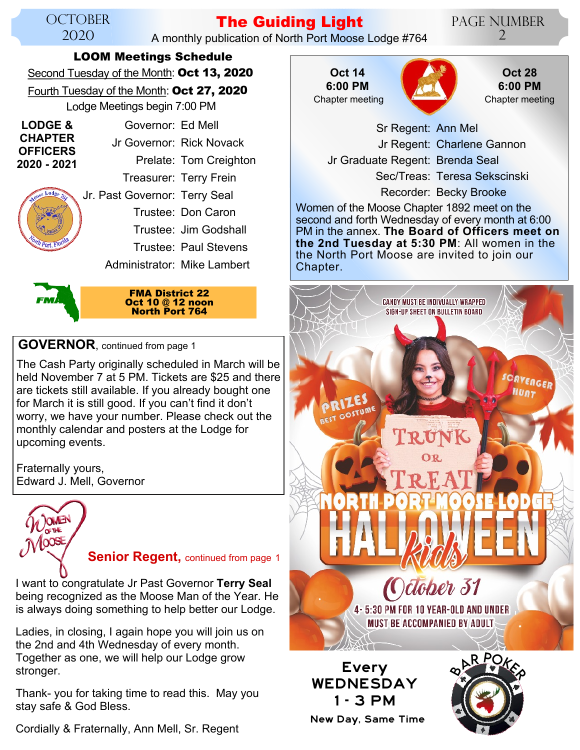#### **OCTOBER** 2020

## **The Guiding Light**

A monthly publication of North Port Moose Lodge #764

Page Number  $\overline{2}$ 

#### **LOOM Meetings Schedule**

Second Tuesday of the Month: **Oct 13, 2020**

Fourth Tuesday of the Month: **Oct 27, 2020** Lodge Meetings begin 7:00 PM

Governor: Ed Mell Jr Governor: Rick Novack Prelate: Tom Creighton Treasurer: Terry Frein Jr. Past Governor: Terry Seal Trustee: Don Caron Trustee: Jim Godshall Trustee: Paul Stevens Administrator: Mike Lambert **LODGE & CHAPTER OFFICERS 2020 - 2021**



**FMA District 22 Oct 10 @ 12 noon North Port 764**

#### **GOVERNOR**, continued from page 1

The Cash Party originally scheduled in March will be held November 7 at 5 PM. Tickets are \$25 and there are tickets still available. If you already bought one for March it is still good. If you can't find it don't worry, we have your number. Please check out the monthly calendar and posters at the Lodge for upcoming events.

Fraternally yours, Edward J. Mell, Governor



**Senior Regent, continued from page 1** 

I want to congratulate Jr Past Governor **Terry Seal** being recognized as the Moose Man of the Year. He is always doing something to help better our Lodge.

Ladies, in closing, I again hope you will join us on the 2nd and 4th Wednesday of every month. Together as one, we will help our Lodge grow stronger.

Thank- you for taking time to read this. May you stay safe & God Bless.

Cordially & Fraternally, Ann Mell, Sr. Regent







 Sr Regent: Ann Mel Jr Regent: Charlene Gannon Jr Graduate Regent: Brenda Seal Sec/Treas: Teresa Sekscinski

Recorder: Becky Brooke

Women of the Moose Chapter 1892 meet on the second and forth Wednesday of every month at 6:00 PM in the annex. **The Board of Officers meet on the 2nd Tuesday at 5:30 PM**: All women in the the North Port Moose are invited to join our Chapter.



New Day, Same Time

1 - 3 PM

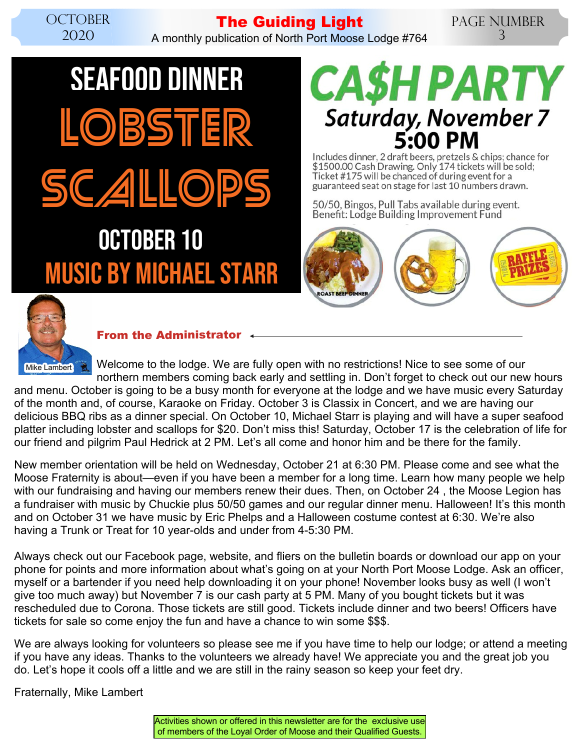# **The Guiding Light**

A monthly publication of North Port Moose Lodge #764

#### Page Number 3

# SEAFOOD DINNER BSTER CALLOP MUSIC BY MICHAEL STARR OCTOBER 10



Includes dinner, 2 draft beers, pretzels & chips; chance for \$1500.00 Cash Drawing. Only 174 tickets will be sold; Ticket #175 will be chanced of during event for a guaranteed seat on stage for last 10 numbers drawn.

50/50, Bingos, Pull Tabs available during event. Benefit: Lodge Building Improvement Fund





#### **From the Administrator**

Welcome to the lodge. We are fully open with no restrictions! Nice to see some of our northern members coming back early and settling in. Don't forget to check out our new hours

and menu. October is going to be a busy month for everyone at the lodge and we have music every Saturday of the month and, of course, Karaoke on Friday. October 3 is Classix in Concert, and we are having our delicious BBQ ribs as a dinner special. On October 10, Michael Starr is playing and will have a super seafood platter including lobster and scallops for \$20. Don't miss this! Saturday, October 17 is the celebration of life for our friend and pilgrim Paul Hedrick at 2 PM. Let's all come and honor him and be there for the family.

New member orientation will be held on Wednesday, October 21 at 6:30 PM. Please come and see what the Moose Fraternity is about—even if you have been a member for a long time. Learn how many people we help with our fundraising and having our members renew their dues. Then, on October 24 , the Moose Legion has a fundraiser with music by Chuckie plus 50/50 games and our regular dinner menu. Halloween! It's this month and on October 31 we have music by Eric Phelps and a Halloween costume contest at 6:30. We're also having a Trunk or Treat for 10 year-olds and under from 4-5:30 PM.

Always check out our Facebook page, website, and fliers on the bulletin boards or download our app on your phone for points and more information about what's going on at your North Port Moose Lodge. Ask an officer, myself or a bartender if you need help downloading it on your phone! November looks busy as well (I won't give too much away) but November 7 is our cash party at 5 PM. Many of you bought tickets but it was rescheduled due to Corona. Those tickets are still good. Tickets include dinner and two beers! Officers have tickets for sale so come enjoy the fun and have a chance to win some \$\$\$.

We are always looking for volunteers so please see me if you have time to help our lodge; or attend a meeting if you have any ideas. Thanks to the volunteers we already have! We appreciate you and the great job you do. Let's hope it cools off a little and we are still in the rainy season so keep your feet dry.

Fraternally, Mike Lambert

Activities shown or offered in this newsletter are for the exclusive use of members of the Loyal Order of Moose and their Qualified Guests.